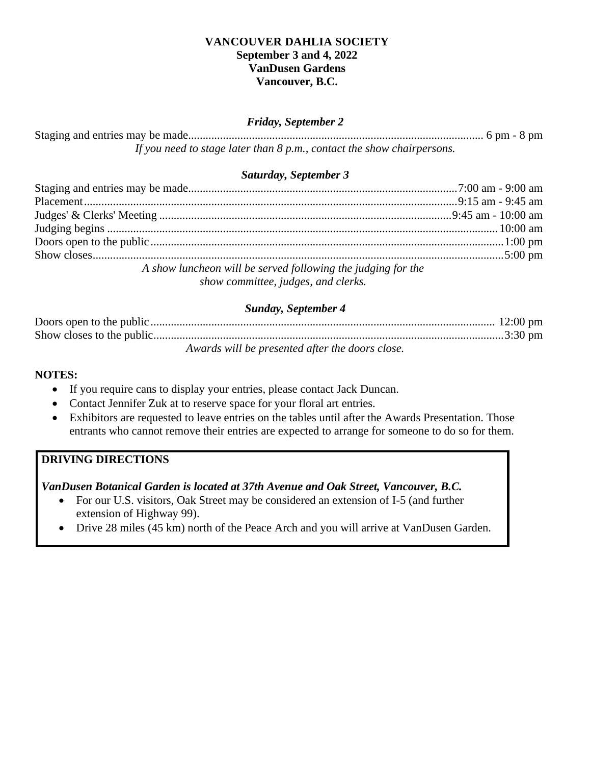#### **VANCOUVER DAHLIA SOCIETY September 3 and 4, 2022 VanDusen Gardens Vancouver, B.C.**

#### *Friday, September 2*

Staging and entries may be made...................................................................................................... 6 pm - 8 pm *If you need to stage later than 8 p.m., contact the show chairpersons.*

#### *Saturday, September 3*

| A show luncheon will be served following the judging for the |  |
|--------------------------------------------------------------|--|
| show committee, judges, and clerks.                          |  |

## *Sunday, September 4*

| Awards will be presented after the doors close. |  |
|-------------------------------------------------|--|

#### **NOTES:**

- If you require cans to display your entries, please contact Jack Duncan.
- Contact Jennifer Zuk at to reserve space for your floral art entries.
- Exhibitors are requested to leave entries on the tables until after the Awards Presentation. Those entrants who cannot remove their entries are expected to arrange for someone to do so for them.

## **DRIVING DIRECTIONS**

*VanDusen Botanical Garden is located at 37th Avenue and Oak Street, Vancouver, B.C.*

- For our U.S. visitors, Oak Street may be considered an extension of I-5 (and further extension of Highway 99).
- Drive 28 miles (45 km) north of the Peace Arch and you will arrive at VanDusen Garden.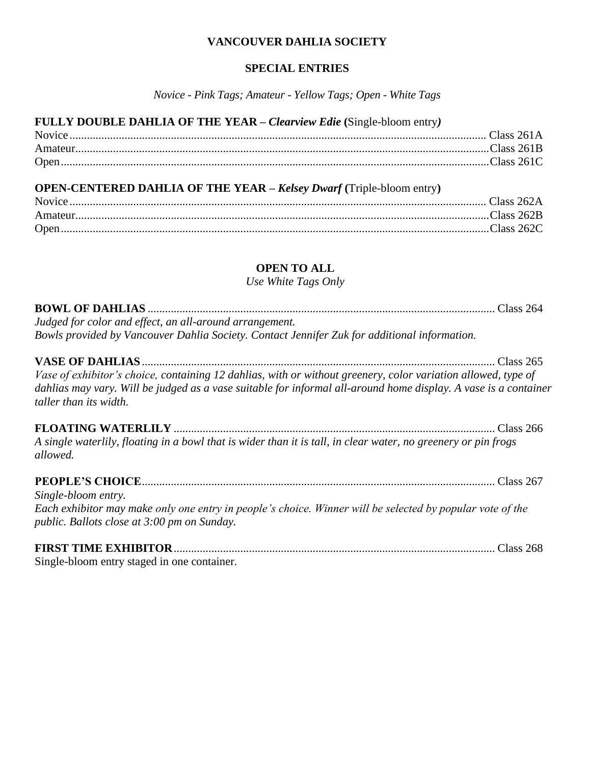#### **VANCOUVER DAHLIA SOCIETY**

#### **SPECIAL ENTRIES**

*Novice - Pink Tags; Amateur - Yellow Tags; Open - White Tags*

#### **FULLY DOUBLE DAHLIA OF THE YEAR –** *Clearview Edie* **(**Single-bloom entry*)*

| Open. |  |
|-------|--|

## **OPEN-CENTERED DAHLIA OF THE YEAR –** *Kelsey Dwarf* **(**Triple-bloom entry**)**

| Amateur  |  |
|----------|--|
| $Onen$ . |  |

## **OPEN TO ALL**

*Use White Tags Only*

| Judged for color and effect, an all-around arrangement.                                      |  |
|----------------------------------------------------------------------------------------------|--|
| Bowls provided by Vancouver Dahlia Society. Contact Jennifer Zuk for additional information. |  |
|                                                                                              |  |

**VASE OF DAHLIAS**.......................................................................................................................... Class 265 *Vase of exhibitor's choice, containing 12 dahlias, with or without greenery, color variation allowed, type of dahlias may vary. Will be judged as a vase suitable for informal all-around home display. A vase is a container taller than its width.*

**FLOATING WATERLILY** ............................................................................................................... Class 266 *A single waterlily, floating in a bowl that is wider than it is tall, in clear water, no greenery or pin frogs allowed.*

# **PEOPLE'S CHOICE**.......................................................................................................................... Class 267

*Single-bloom entry. Each exhibitor may make only one entry in people's choice. Winner will be selected by popular vote of the public. Ballots close at 3:00 pm on Sunday.*

# **FIRST TIME EXHIBITOR**............................................................................................................... Class 268

Single-bloom entry staged in one container.